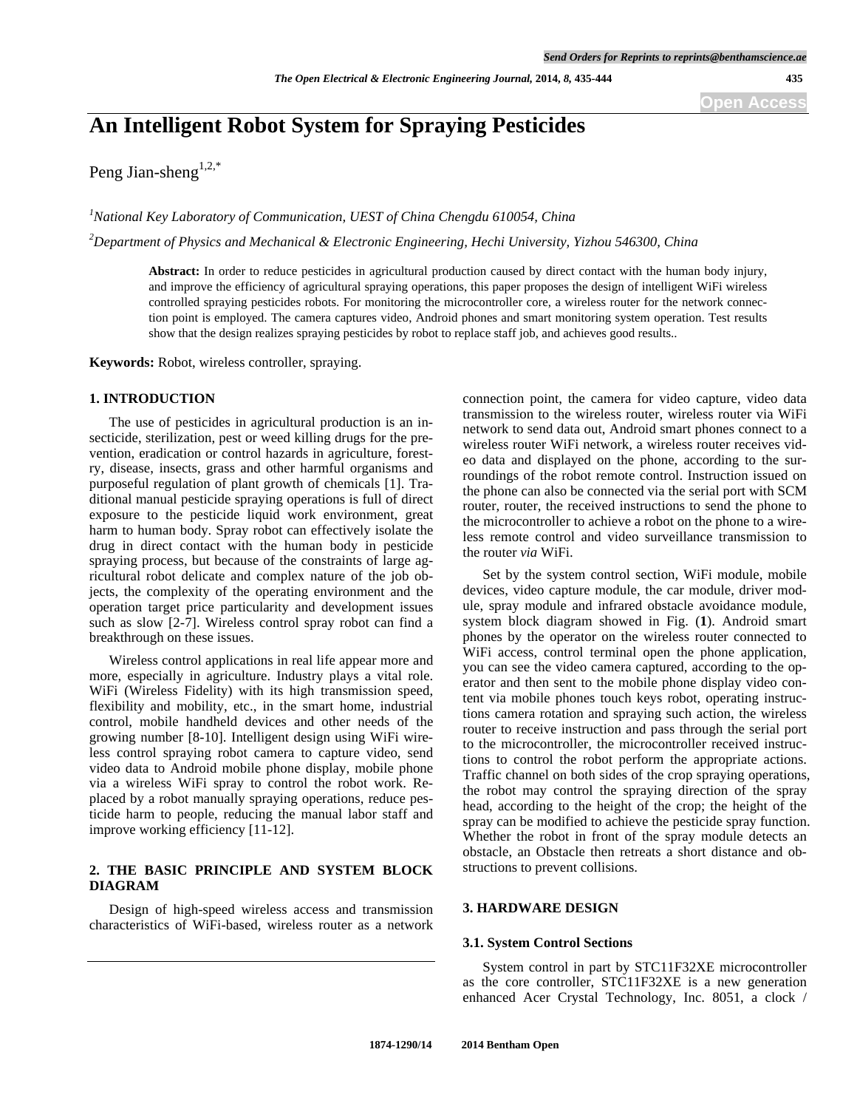# **An Intelligent Robot System for Spraying Pesticides**

Peng Jian-sheng<sup>1,2,\*</sup>

<sup>1</sup> National Key Laboratory of Communication, UEST of China Chengdu 610054, China

*2 Department of Physics and Mechanical & Electronic Engineering, Hechi University, Yizhou 546300, China* 

**Abstract:** In order to reduce pesticides in agricultural production caused by direct contact with the human body injury, and improve the efficiency of agricultural spraying operations, this paper proposes the design of intelligent WiFi wireless controlled spraying pesticides robots. For monitoring the microcontroller core, a wireless router for the network connection point is employed. The camera captures video, Android phones and smart monitoring system operation. Test results show that the design realizes spraying pesticides by robot to replace staff job, and achieves good results..

**Keywords:** Robot, wireless controller, spraying.

#### **1. INTRODUCTION**

The use of pesticides in agricultural production is an insecticide, sterilization, pest or weed killing drugs for the prevention, eradication or control hazards in agriculture, forestry, disease, insects, grass and other harmful organisms and purposeful regulation of plant growth of chemicals [1]. Traditional manual pesticide spraying operations is full of direct exposure to the pesticide liquid work environment, great harm to human body. Spray robot can effectively isolate the drug in direct contact with the human body in pesticide spraying process, but because of the constraints of large agricultural robot delicate and complex nature of the job objects, the complexity of the operating environment and the operation target price particularity and development issues such as slow [2-7]. Wireless control spray robot can find a breakthrough on these issues.

Wireless control applications in real life appear more and more, especially in agriculture. Industry plays a vital role. WiFi (Wireless Fidelity) with its high transmission speed, flexibility and mobility, etc., in the smart home, industrial control, mobile handheld devices and other needs of the growing number [8-10]. Intelligent design using WiFi wireless control spraying robot camera to capture video, send video data to Android mobile phone display, mobile phone via a wireless WiFi spray to control the robot work. Replaced by a robot manually spraying operations, reduce pesticide harm to people, reducing the manual labor staff and improve working efficiency [11-12].

## **2. THE BASIC PRINCIPLE AND SYSTEM BLOCK DIAGRAM**

Design of high-speed wireless access and transmission characteristics of WiFi-based, wireless router as a network

connection point, the camera for video capture, video data transmission to the wireless router, wireless router via WiFi network to send data out, Android smart phones connect to a wireless router WiFi network, a wireless router receives video data and displayed on the phone, according to the surroundings of the robot remote control. Instruction issued on the phone can also be connected via the serial port with SCM router, router, the received instructions to send the phone to the microcontroller to achieve a robot on the phone to a wireless remote control and video surveillance transmission to the router *via* WiFi.

Set by the system control section, WiFi module, mobile devices, video capture module, the car module, driver module, spray module and infrared obstacle avoidance module, system block diagram showed in Fig. (**1**). Android smart phones by the operator on the wireless router connected to WiFi access, control terminal open the phone application, you can see the video camera captured, according to the operator and then sent to the mobile phone display video content via mobile phones touch keys robot, operating instructions camera rotation and spraying such action, the wireless router to receive instruction and pass through the serial port to the microcontroller, the microcontroller received instructions to control the robot perform the appropriate actions. Traffic channel on both sides of the crop spraying operations, the robot may control the spraying direction of the spray head, according to the height of the crop; the height of the spray can be modified to achieve the pesticide spray function. Whether the robot in front of the spray module detects an obstacle, an Obstacle then retreats a short distance and obstructions to prevent collisions.

# **3. HARDWARE DESIGN**

#### **3.1. System Control Sections**

System control in part by STC11F32XE microcontroller as the core controller, STC11F32XE is a new generation enhanced Acer Crystal Technology, Inc. 8051, a clock /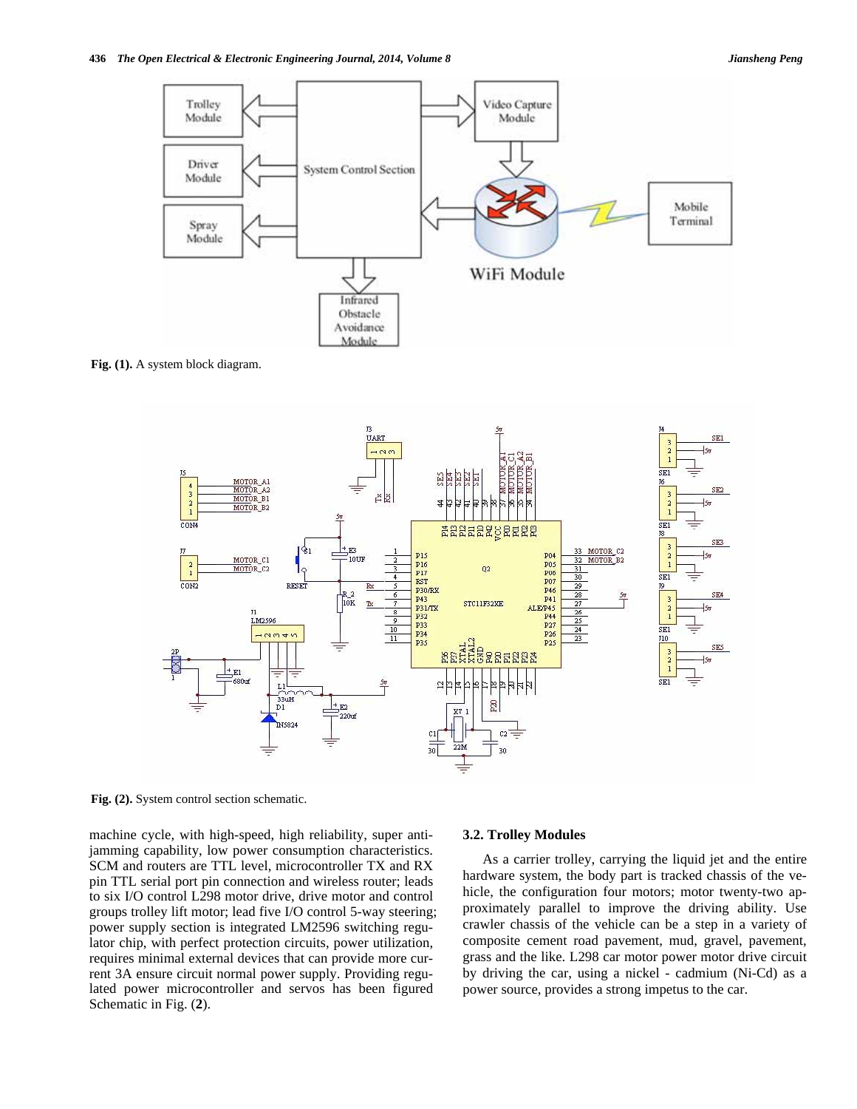

**Fig. (1).** A system block diagram.



**Fig. (2).** System control section schematic.

machine cycle, with high-speed, high reliability, super antijamming capability, low power consumption characteristics. SCM and routers are TTL level, microcontroller TX and RX pin TTL serial port pin connection and wireless router; leads to six I/O control L298 motor drive, drive motor and control groups trolley lift motor; lead five I/O control 5-way steering; power supply section is integrated LM2596 switching regulator chip, with perfect protection circuits, power utilization, requires minimal external devices that can provide more current 3A ensure circuit normal power supply. Providing regulated power microcontroller and servos has been figured Schematic in Fig. (**2**).

#### **3.2. Trolley Modules**

As a carrier trolley, carrying the liquid jet and the entire hardware system, the body part is tracked chassis of the vehicle, the configuration four motors; motor twenty-two approximately parallel to improve the driving ability. Use crawler chassis of the vehicle can be a step in a variety of composite cement road pavement, mud, gravel, pavement, grass and the like. L298 car motor power motor drive circuit by driving the car, using a nickel - cadmium (Ni-Cd) as a power source, provides a strong impetus to the car.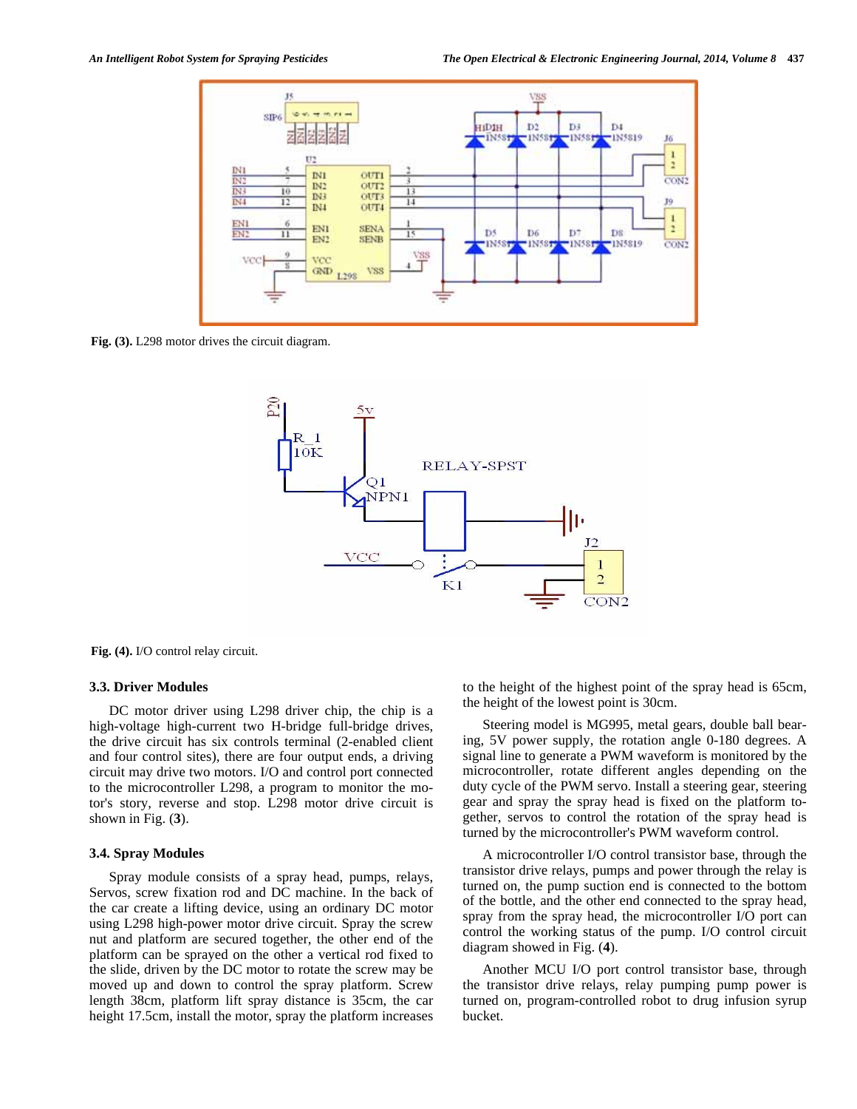

**Fig. (3).** L298 motor drives the circuit diagram.



**Fig. (4).** I/O control relay circuit.

#### **3.3. Driver Modules**

DC motor driver using L298 driver chip, the chip is a high-voltage high-current two H-bridge full-bridge drives, the drive circuit has six controls terminal (2-enabled client and four control sites), there are four output ends, a driving circuit may drive two motors. I/O and control port connected to the microcontroller L298, a program to monitor the motor's story, reverse and stop. L298 motor drive circuit is shown in Fig. (**3**).

#### **3.4. Spray Modules**

Spray module consists of a spray head, pumps, relays, Servos, screw fixation rod and DC machine. In the back of the car create a lifting device, using an ordinary DC motor using L298 high-power motor drive circuit. Spray the screw nut and platform are secured together, the other end of the platform can be sprayed on the other a vertical rod fixed to the slide, driven by the DC motor to rotate the screw may be moved up and down to control the spray platform. Screw length 38cm, platform lift spray distance is 35cm, the car height 17.5cm, install the motor, spray the platform increases to the height of the highest point of the spray head is 65cm, the height of the lowest point is 30cm.

Steering model is MG995, metal gears, double ball bearing, 5V power supply, the rotation angle 0-180 degrees. A signal line to generate a PWM waveform is monitored by the microcontroller, rotate different angles depending on the duty cycle of the PWM servo. Install a steering gear, steering gear and spray the spray head is fixed on the platform together, servos to control the rotation of the spray head is turned by the microcontroller's PWM waveform control.

A microcontroller I/O control transistor base, through the transistor drive relays, pumps and power through the relay is turned on, the pump suction end is connected to the bottom of the bottle, and the other end connected to the spray head, spray from the spray head, the microcontroller I/O port can control the working status of the pump. I/O control circuit diagram showed in Fig. (**4**).

Another MCU I/O port control transistor base, through the transistor drive relays, relay pumping pump power is turned on, program-controlled robot to drug infusion syrup bucket.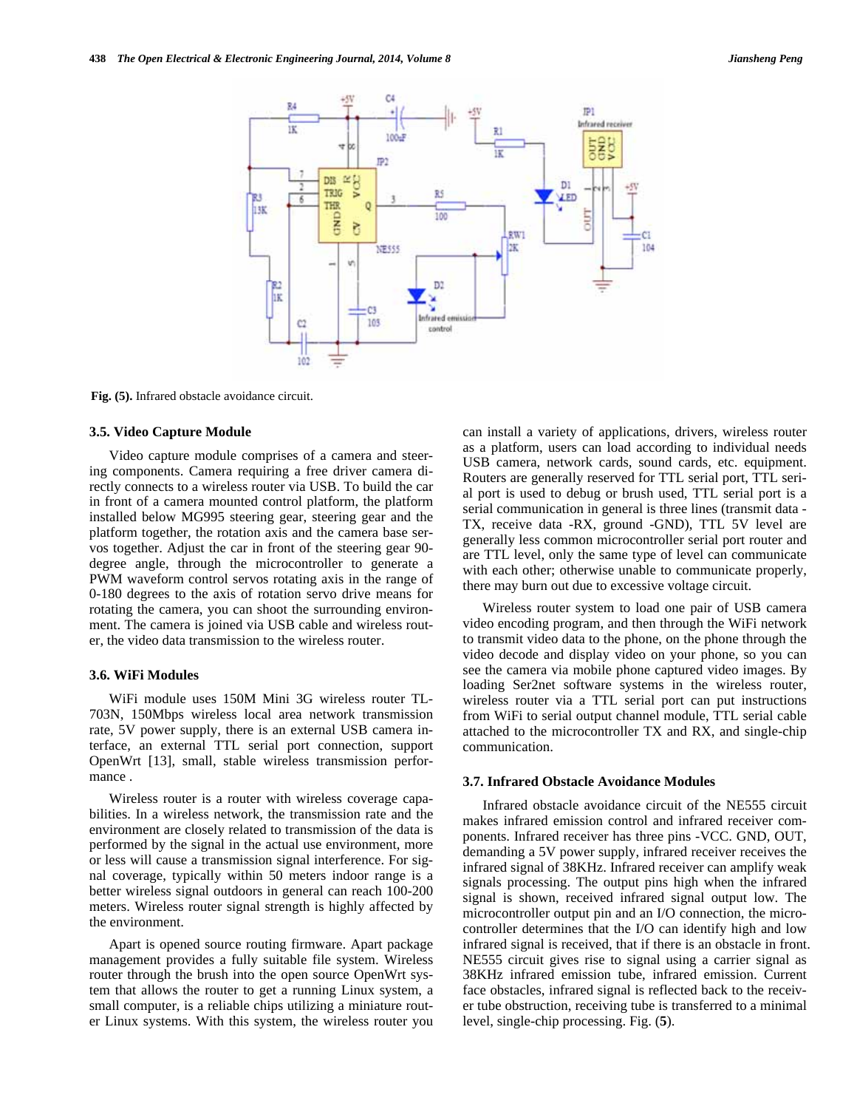

**Fig. (5).** Infrared obstacle avoidance circuit.

#### **3.5. Video Capture Module**

Video capture module comprises of a camera and steering components. Camera requiring a free driver camera directly connects to a wireless router via USB. To build the car in front of a camera mounted control platform, the platform installed below MG995 steering gear, steering gear and the platform together, the rotation axis and the camera base servos together. Adjust the car in front of the steering gear 90 degree angle, through the microcontroller to generate a PWM waveform control servos rotating axis in the range of 0-180 degrees to the axis of rotation servo drive means for rotating the camera, you can shoot the surrounding environment. The camera is joined via USB cable and wireless router, the video data transmission to the wireless router.

#### **3.6. WiFi Modules**

WiFi module uses 150M Mini 3G wireless router TL-703N, 150Mbps wireless local area network transmission rate, 5V power supply, there is an external USB camera interface, an external TTL serial port connection, support OpenWrt [13], small, stable wireless transmission performance .

Wireless router is a router with wireless coverage capabilities. In a wireless network, the transmission rate and the environment are closely related to transmission of the data is performed by the signal in the actual use environment, more or less will cause a transmission signal interference. For signal coverage, typically within 50 meters indoor range is a better wireless signal outdoors in general can reach 100-200 meters. Wireless router signal strength is highly affected by the environment.

Apart is opened source routing firmware. Apart package management provides a fully suitable file system. Wireless router through the brush into the open source OpenWrt system that allows the router to get a running Linux system, a small computer, is a reliable chips utilizing a miniature router Linux systems. With this system, the wireless router you can install a variety of applications, drivers, wireless router as a platform, users can load according to individual needs USB camera, network cards, sound cards, etc. equipment. Routers are generally reserved for TTL serial port, TTL serial port is used to debug or brush used, TTL serial port is a serial communication in general is three lines (transmit data - TX, receive data -RX, ground -GND), TTL 5V level are generally less common microcontroller serial port router and are TTL level, only the same type of level can communicate with each other; otherwise unable to communicate properly, there may burn out due to excessive voltage circuit.

Wireless router system to load one pair of USB camera video encoding program, and then through the WiFi network to transmit video data to the phone, on the phone through the video decode and display video on your phone, so you can see the camera via mobile phone captured video images. By loading Ser2net software systems in the wireless router, wireless router via a TTL serial port can put instructions from WiFi to serial output channel module, TTL serial cable attached to the microcontroller TX and RX, and single-chip communication.

## **3.7. Infrared Obstacle Avoidance Modules**

Infrared obstacle avoidance circuit of the NE555 circuit makes infrared emission control and infrared receiver components. Infrared receiver has three pins -VCC. GND, OUT, demanding a 5V power supply, infrared receiver receives the infrared signal of 38KHz. Infrared receiver can amplify weak signals processing. The output pins high when the infrared signal is shown, received infrared signal output low. The microcontroller output pin and an I/O connection, the microcontroller determines that the I/O can identify high and low infrared signal is received, that if there is an obstacle in front. NE555 circuit gives rise to signal using a carrier signal as 38KHz infrared emission tube, infrared emission. Current face obstacles, infrared signal is reflected back to the receiver tube obstruction, receiving tube is transferred to a minimal level, single-chip processing. Fig. (**5**).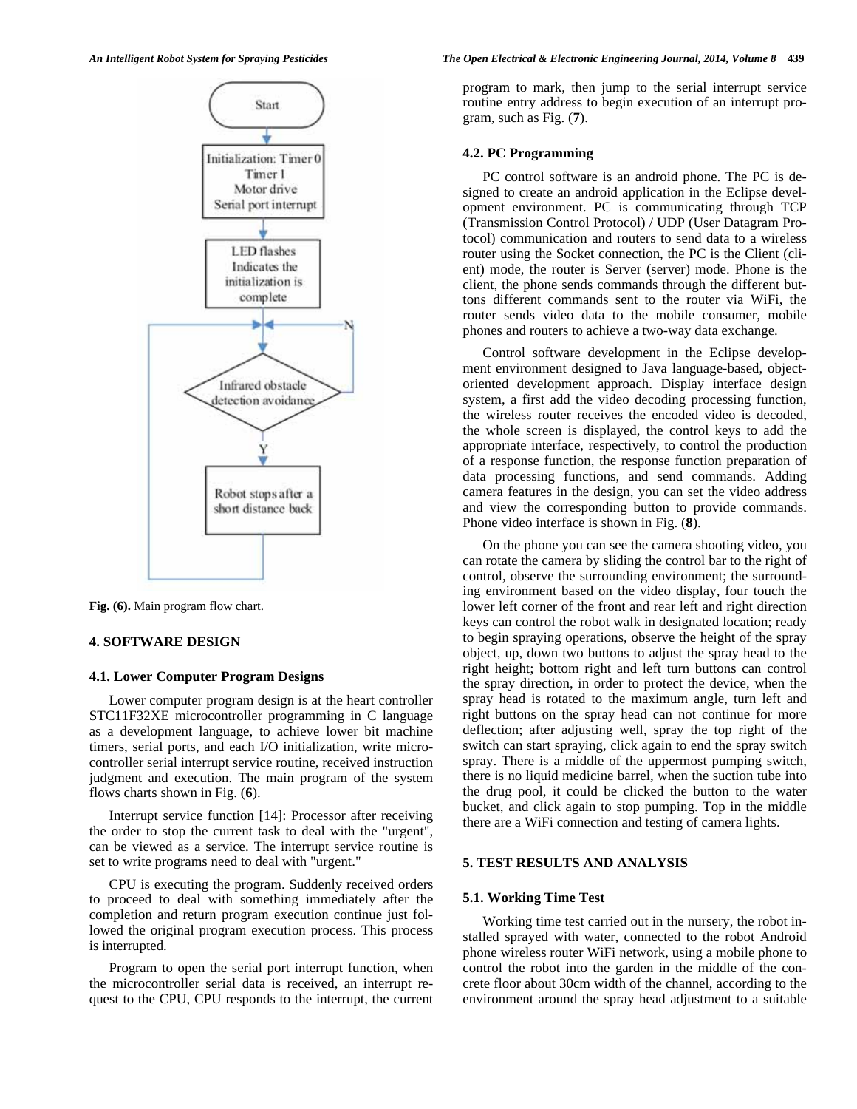

**Fig. (6).** Main program flow chart.

## **4. SOFTWARE DESIGN**

## **4.1. Lower Computer Program Designs**

Lower computer program design is at the heart controller STC11F32XE microcontroller programming in C language as a development language, to achieve lower bit machine timers, serial ports, and each I/O initialization, write microcontroller serial interrupt service routine, received instruction judgment and execution. The main program of the system flows charts shown in Fig. (**6**).

Interrupt service function [14]: Processor after receiving the order to stop the current task to deal with the "urgent", can be viewed as a service. The interrupt service routine is set to write programs need to deal with "urgent."

CPU is executing the program. Suddenly received orders to proceed to deal with something immediately after the completion and return program execution continue just followed the original program execution process. This process is interrupted.

Program to open the serial port interrupt function, when the microcontroller serial data is received, an interrupt request to the CPU, CPU responds to the interrupt, the current

#### *An Intelligent Robot System for Spraying Pesticides The Open Electrical & Electronic Engineering Journal, 2014, Volume 8* **439**

program to mark, then jump to the serial interrupt service routine entry address to begin execution of an interrupt program, such as Fig. (**7**).

## **4.2. PC Programming**

PC control software is an android phone. The PC is designed to create an android application in the Eclipse development environment. PC is communicating through TCP (Transmission Control Protocol) / UDP (User Datagram Protocol) communication and routers to send data to a wireless router using the Socket connection, the PC is the Client (client) mode, the router is Server (server) mode. Phone is the client, the phone sends commands through the different buttons different commands sent to the router via WiFi, the router sends video data to the mobile consumer, mobile phones and routers to achieve a two-way data exchange.

Control software development in the Eclipse development environment designed to Java language-based, objectoriented development approach. Display interface design system, a first add the video decoding processing function, the wireless router receives the encoded video is decoded, the whole screen is displayed, the control keys to add the appropriate interface, respectively, to control the production of a response function, the response function preparation of data processing functions, and send commands. Adding camera features in the design, you can set the video address and view the corresponding button to provide commands. Phone video interface is shown in Fig. (**8**).

On the phone you can see the camera shooting video, you can rotate the camera by sliding the control bar to the right of control, observe the surrounding environment; the surrounding environment based on the video display, four touch the lower left corner of the front and rear left and right direction keys can control the robot walk in designated location; ready to begin spraying operations, observe the height of the spray object, up, down two buttons to adjust the spray head to the right height; bottom right and left turn buttons can control the spray direction, in order to protect the device, when the spray head is rotated to the maximum angle, turn left and right buttons on the spray head can not continue for more deflection; after adjusting well, spray the top right of the switch can start spraying, click again to end the spray switch spray. There is a middle of the uppermost pumping switch, there is no liquid medicine barrel, when the suction tube into the drug pool, it could be clicked the button to the water bucket, and click again to stop pumping. Top in the middle there are a WiFi connection and testing of camera lights.

## **5. TEST RESULTS AND ANALYSIS**

#### **5.1. Working Time Test**

Working time test carried out in the nursery, the robot installed sprayed with water, connected to the robot Android phone wireless router WiFi network, using a mobile phone to control the robot into the garden in the middle of the concrete floor about 30cm width of the channel, according to the environment around the spray head adjustment to a suitable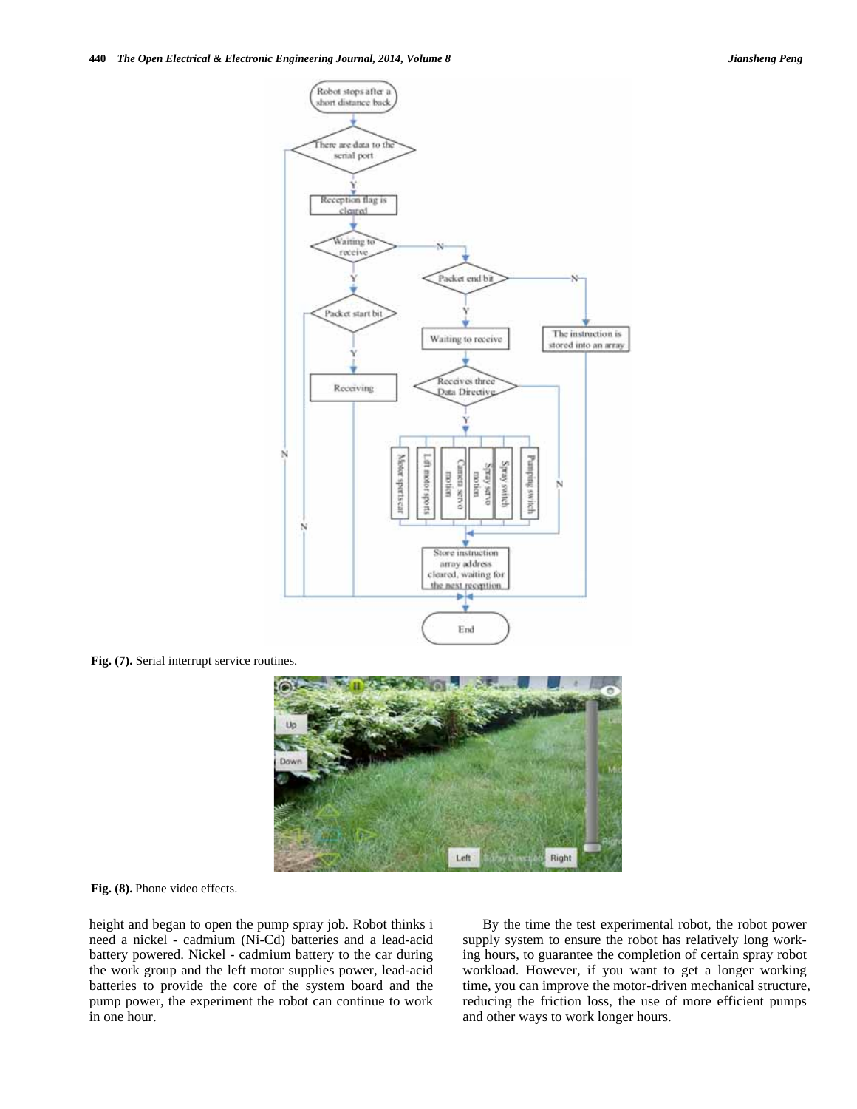

**Fig. (7).** Serial interrupt service routines.



**Fig. (8).** Phone video effects.

height and began to open the pump spray job. Robot thinks i need a nickel - cadmium (Ni-Cd) batteries and a lead-acid battery powered. Nickel - cadmium battery to the car during the work group and the left motor supplies power, lead-acid batteries to provide the core of the system board and the pump power, the experiment the robot can continue to work in one hour.

By the time the test experimental robot, the robot power supply system to ensure the robot has relatively long working hours, to guarantee the completion of certain spray robot workload. However, if you want to get a longer working time, you can improve the motor-driven mechanical structure, reducing the friction loss, the use of more efficient pumps and other ways to work longer hours.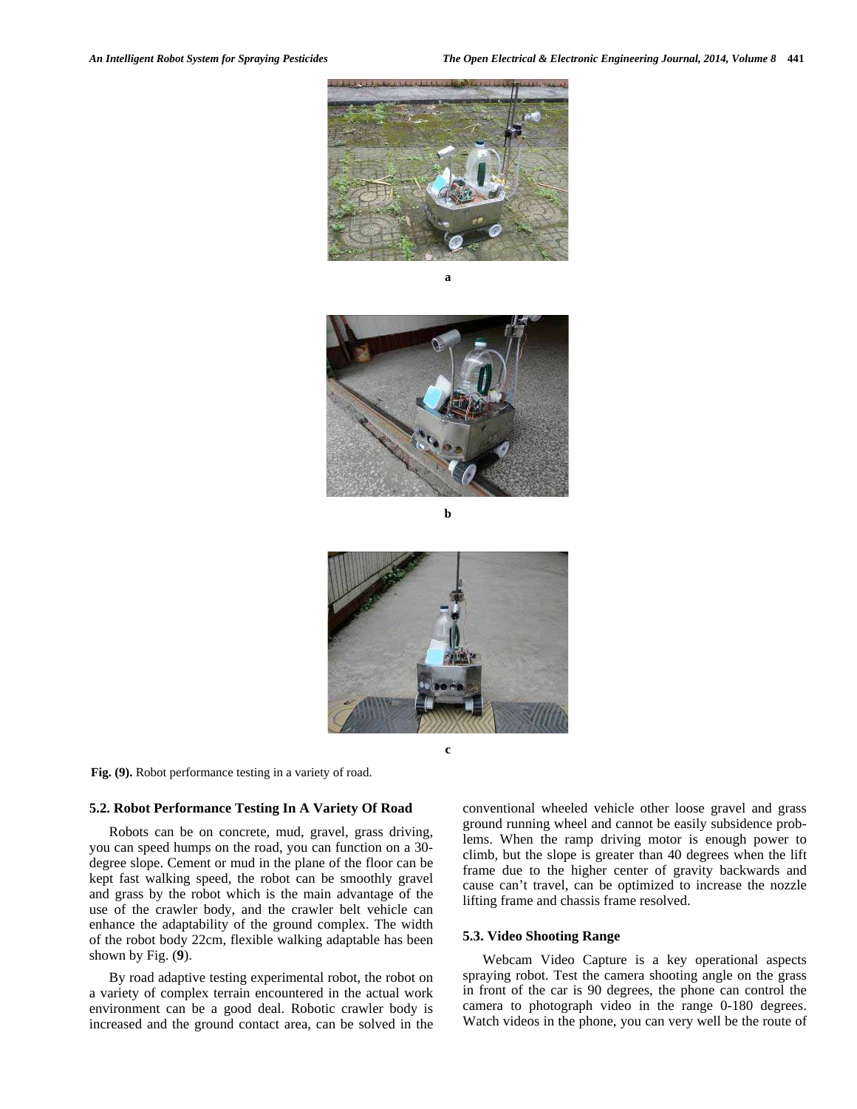

**a** 



**b** 



**c** 

**Fig. (9).** Robot performance testing in a variety of road.

## **5.2. Robot Performance Testing In A Variety Of Road**

Robots can be on concrete, mud, gravel, grass driving, you can speed humps on the road, you can function on a 30 degree slope. Cement or mud in the plane of the floor can be kept fast walking speed, the robot can be smoothly gravel and grass by the robot which is the main advantage of the use of the crawler body, and the crawler belt vehicle can enhance the adaptability of the ground complex. The width of the robot body 22cm, flexible walking adaptable has been shown by Fig. (**9**).

By road adaptive testing experimental robot, the robot on a variety of complex terrain encountered in the actual work environment can be a good deal. Robotic crawler body is increased and the ground contact area, can be solved in the

conventional wheeled vehicle other loose gravel and grass ground running wheel and cannot be easily subsidence problems. When the ramp driving motor is enough power to climb, but the slope is greater than 40 degrees when the lift frame due to the higher center of gravity backwards and cause can't travel, can be optimized to increase the nozzle lifting frame and chassis frame resolved.

#### **5.3. Video Shooting Range**

Webcam Video Capture is a key operational aspects spraying robot. Test the camera shooting angle on the grass in front of the car is 90 degrees, the phone can control the camera to photograph video in the range 0-180 degrees. Watch videos in the phone, you can very well be the route of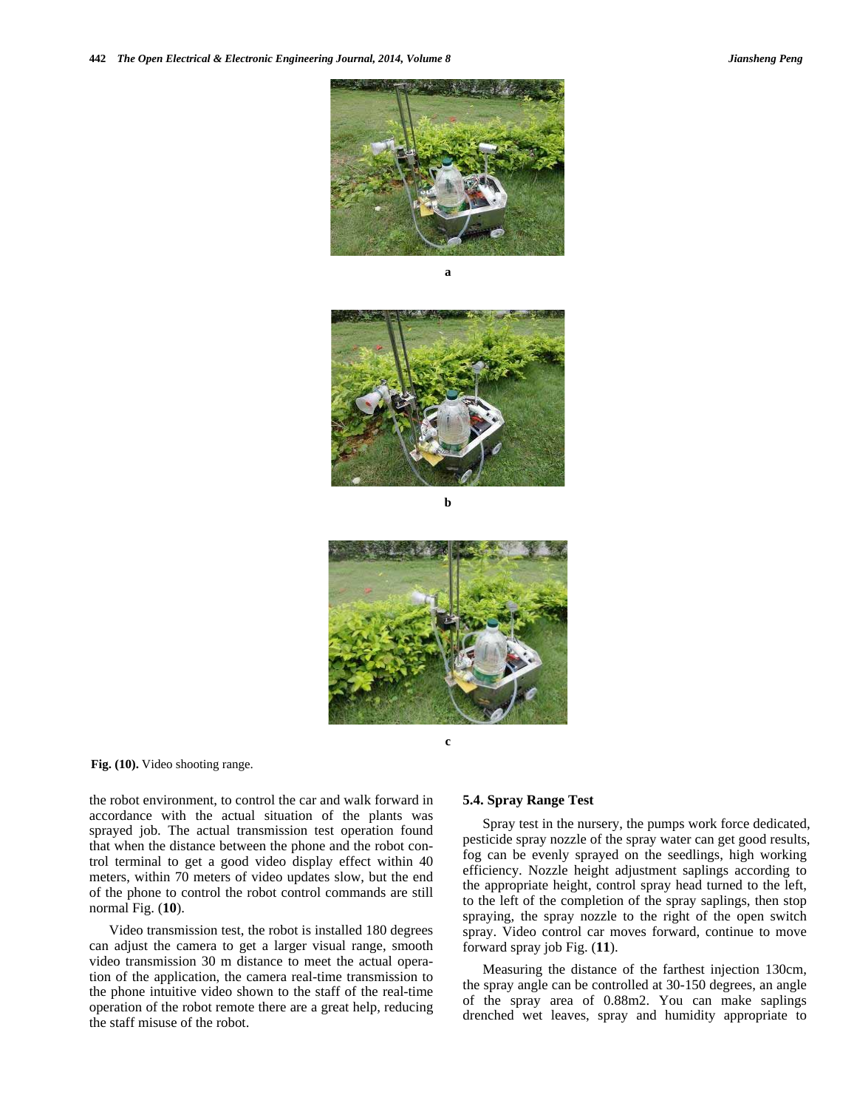

**a** 



**b** 



**Fig. (10).** Video shooting range.

the robot environment, to control the car and walk forward in accordance with the actual situation of the plants was sprayed job. The actual transmission test operation found that when the distance between the phone and the robot control terminal to get a good video display effect within 40 meters, within 70 meters of video updates slow, but the end of the phone to control the robot control commands are still normal Fig. (**10**).

Video transmission test, the robot is installed 180 degrees can adjust the camera to get a larger visual range, smooth video transmission 30 m distance to meet the actual operation of the application, the camera real-time transmission to the phone intuitive video shown to the staff of the real-time operation of the robot remote there are a great help, reducing the staff misuse of the robot.

#### **5.4. Spray Range Test**

Spray test in the nursery, the pumps work force dedicated, pesticide spray nozzle of the spray water can get good results, fog can be evenly sprayed on the seedlings, high working efficiency. Nozzle height adjustment saplings according to the appropriate height, control spray head turned to the left, to the left of the completion of the spray saplings, then stop spraying, the spray nozzle to the right of the open switch spray. Video control car moves forward, continue to move forward spray job Fig. (**11**).

Measuring the distance of the farthest injection 130cm, the spray angle can be controlled at 30-150 degrees, an angle of the spray area of 0.88m2. You can make saplings drenched wet leaves, spray and humidity appropriate to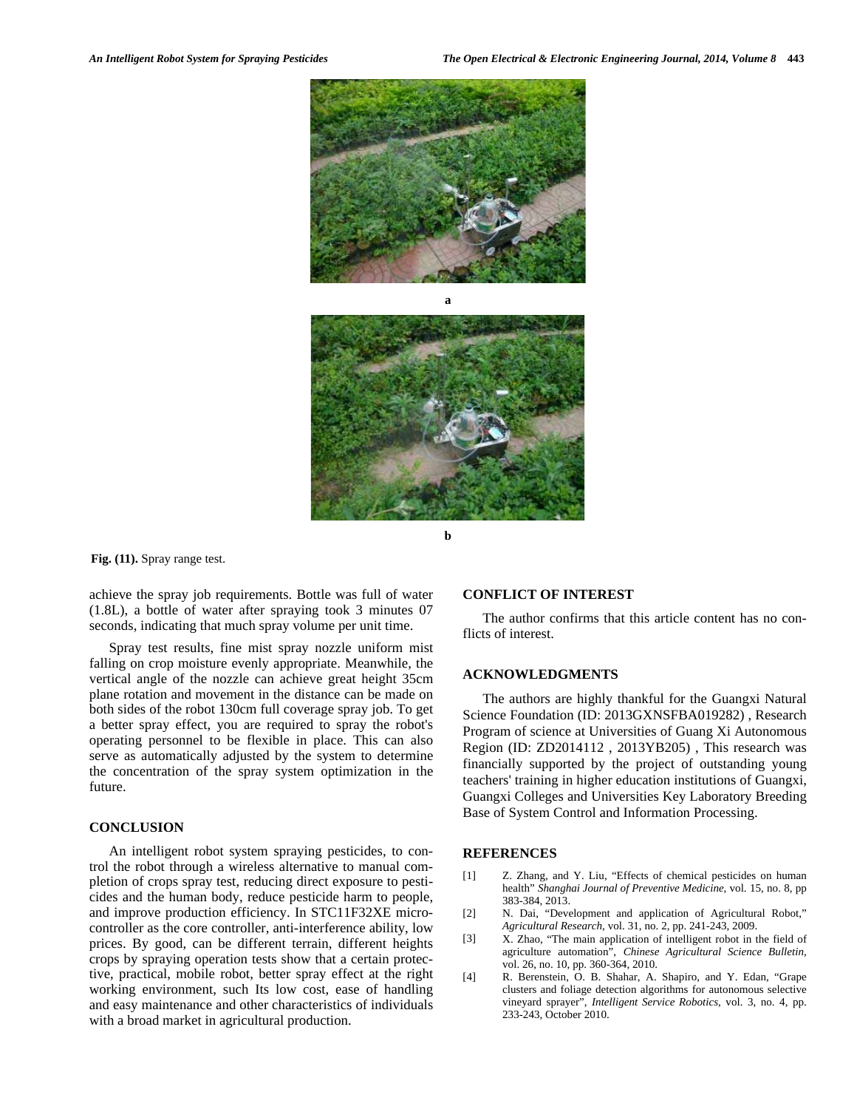



**b** 

**Fig. (11).** Spray range test.

achieve the spray job requirements. Bottle was full of water (1.8L), a bottle of water after spraying took 3 minutes 07 seconds, indicating that much spray volume per unit time.

Spray test results, fine mist spray nozzle uniform mist falling on crop moisture evenly appropriate. Meanwhile, the vertical angle of the nozzle can achieve great height 35cm plane rotation and movement in the distance can be made on both sides of the robot 130cm full coverage spray job. To get a better spray effect, you are required to spray the robot's operating personnel to be flexible in place. This can also serve as automatically adjusted by the system to determine the concentration of the spray system optimization in the future.

#### **CONCLUSION**

An intelligent robot system spraying pesticides, to control the robot through a wireless alternative to manual completion of crops spray test, reducing direct exposure to pesticides and the human body, reduce pesticide harm to people, and improve production efficiency. In STC11F32XE microcontroller as the core controller, anti-interference ability, low prices. By good, can be different terrain, different heights crops by spraying operation tests show that a certain protective, practical, mobile robot, better spray effect at the right working environment, such Its low cost, ease of handling and easy maintenance and other characteristics of individuals with a broad market in agricultural production.

#### **CONFLICT OF INTEREST**

The author confirms that this article content has no conflicts of interest.

## **ACKNOWLEDGMENTS**

The authors are highly thankful for the Guangxi Natural Science Foundation (ID: 2013GXNSFBA019282) , Research Program of science at Universities of Guang Xi Autonomous Region (ID: ZD2014112 , 2013YB205) , This research was financially supported by the project of outstanding young teachers' training in higher education institutions of Guangxi, Guangxi Colleges and Universities Key Laboratory Breeding Base of System Control and Information Processing.

#### **REFERENCES**

- [1] Z. Zhang, and Y. Liu, "Effects of chemical pesticides on human health" *Shanghai Journal of Preventive Medicine*, vol. 15, no. 8, pp 383-384, 2013.
- [2] N. Dai, "Development and application of Agricultural Robot," *Agricultural Research*, vol. 31, no. 2, pp. 241-243, 2009.
- [3] X. Zhao, "The main application of intelligent robot in the field of agriculture automation", *Chinese Agricultural Science Bulletin*, vol. 26, no. 10, pp. 360-364, 2010.
- [4] R. Berenstein, O. B. Shahar, A. Shapiro, and Y. Edan, "Grape clusters and foliage detection algorithms for autonomous selective vineyard sprayer", *Intelligent Service Robotics*, vol. 3, no. 4, pp. 233-243, October 2010.